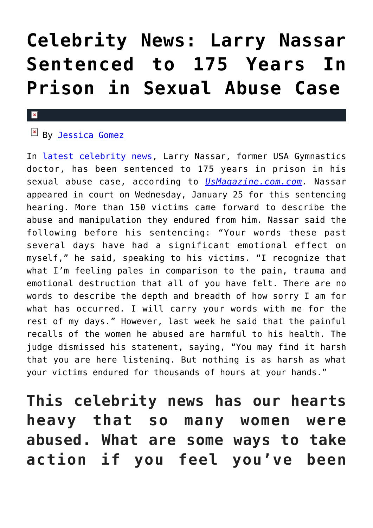# **[Celebrity News: Larry Nassar](https://cupidspulse.com/122772/celebrity-news-larry-nassar-sentenced-175-years-prison-sexual-abuse-case/) [Sentenced to 175 Years In](https://cupidspulse.com/122772/celebrity-news-larry-nassar-sentenced-175-years-prison-sexual-abuse-case/) [Prison in Sexual Abuse Case](https://cupidspulse.com/122772/celebrity-news-larry-nassar-sentenced-175-years-prison-sexual-abuse-case/)**

#### $\mathbf x$

### EN By [Jessica Gomez](http://cupidspulse.com/122405/jessica-gomez/)

In [latest celebrity news](http://cupidspulse.com/celebrity-news/), Larry Nassar, former USA Gymnastics doctor, has been sentenced to 175 years in prison in his sexual abuse case, according to *[UsMagazine.com.com](https://www.usmagazine.com/celebrity-news/news/larry-nassar-sentenced-to-175-years-in-prison-in-sexual-abuse-case/).* Nassar appeared in court on Wednesday, January 25 for this sentencing hearing. More than 150 victims came forward to describe the abuse and manipulation they endured from him. Nassar said the following before his sentencing: "Your words these past several days have had a significant emotional effect on myself," he said, speaking to his victims. "I recognize that what I'm feeling pales in comparison to the pain, trauma and emotional destruction that all of you have felt. There are no words to describe the depth and breadth of how sorry I am for what has occurred. I will carry your words with me for the rest of my days." However, last week he said that the painful recalls of the women he abused are harmful to his health. The judge dismissed his statement, saying, "You may find it harsh that you are here listening. But nothing is as harsh as what your victims endured for thousands of hours at your hands."

**This celebrity news has our hearts heavy that so many women were abused. What are some ways to take action if you feel you've been**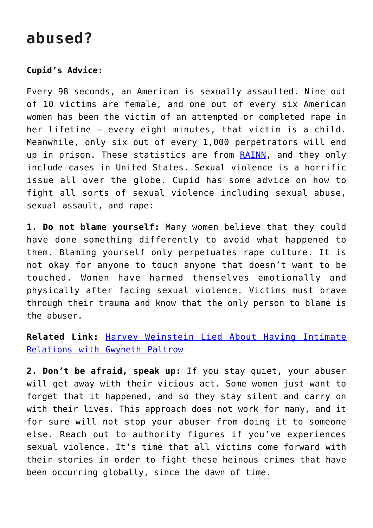## **abused?**

### **Cupid's Advice:**

Every 98 seconds, an American is sexually assaulted. Nine out of 10 victims are female, and one out of every six American women has been the victim of an attempted or completed rape in her lifetime — every eight minutes, that victim is a child. Meanwhile, only six out of every 1,000 perpetrators will end up in prison. These statistics are from [RAINN](https://www.rainn.org/statistics), and they only include cases in United States. Sexual violence is a horrific issue all over the globe. Cupid has some advice on how to fight all sorts of sexual violence including sexual abuse, sexual assault, and rape:

**1. Do not blame yourself:** Many women believe that they could have done something differently to avoid what happened to them. Blaming yourself only perpetuates rape culture. It is not okay for anyone to touch anyone that doesn't want to be touched. Women have harmed themselves emotionally and physically after facing sexual violence. Victims must brave through their trauma and know that the only person to blame is the abuser.

### **Related Link:** [Harvey Weinstein Lied About Having Intimate](http://cupidspulse.com/122006/celebrity-news-harvey-weinstein-lied-about-having-intimate-relations-with-gwyneth-paltrow/) [Relations with Gwyneth Paltrow](http://cupidspulse.com/122006/celebrity-news-harvey-weinstein-lied-about-having-intimate-relations-with-gwyneth-paltrow/)

**2. Don't be afraid, speak up:** If you stay quiet, your abuser will get away with their vicious act. Some women just want to forget that it happened, and so they stay silent and carry on with their lives. This approach does not work for many, and it for sure will not stop your abuser from doing it to someone else. Reach out to authority figures if you've experiences sexual violence. It's time that all victims come forward with their stories in order to fight these heinous crimes that have been occurring globally, since the dawn of time.